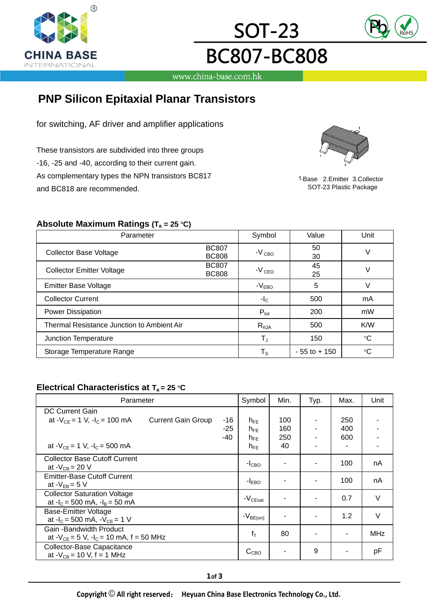



www.china-base.com.hk

**SOT-23** 

**BC807-BC808** 

# **PNP Silicon Epitaxial Planar Transistors**

for switching, AF driver and amplifier applications

These transistors are subdivided into three groups -16, -25 and -40, according to their current gain. As complementary types the NPN transistors BC817 and BC818 are recommended.



1-Base 2.Emitter 3.Collector SOT-23 Plastic Package

### **Absolute Maximum Ratings (T** $_{\rm a}$  **= 25 °C)**

| Parameter                                  |                              | Symbol                  | Value           | Unit        |  |
|--------------------------------------------|------------------------------|-------------------------|-----------------|-------------|--|
| <b>Collector Base Voltage</b>              | <b>BC807</b><br><b>BC808</b> | $-V_{CBO}$              | 50<br>30        | V           |  |
| <b>Collector Emitter Voltage</b>           | <b>BC807</b><br><b>BC808</b> | $-VCEO$                 | 45<br>25        |             |  |
| <b>Emitter Base Voltage</b>                |                              | $-VEBO$                 | 5               |             |  |
| <b>Collector Current</b>                   |                              | $-I_{\rm C}$            | 500             | mA          |  |
| Power Dissipation                          |                              | $P_{\text{tot}}$        | 200             | mW          |  |
| Thermal Resistance Junction to Ambient Air |                              | $R_{\theta$ JA          | 500             | K/W         |  |
| Junction Temperature                       |                              | $\mathsf{T}_\mathsf{J}$ | 150             | $^{\circ}C$ |  |
| Storage Temperature Range                  |                              | $\mathsf{T}_\mathsf{S}$ | $-55$ to $+150$ | $^{\circ}C$ |  |

#### **Electrical Characteristics at T<sub>a</sub> = 25 °C**

| Parameter                                        |                           | Symbol | Min.                       | Typ. | Max.           | Unit |            |
|--------------------------------------------------|---------------------------|--------|----------------------------|------|----------------|------|------------|
| <b>DC Current Gain</b>                           |                           |        |                            |      |                |      |            |
| at $-V_{CF} = 1$ V, $-I_C = 100$ mA              | <b>Current Gain Group</b> | -16    | $h_{FF}$                   | 100  |                | 250  |            |
|                                                  |                           | -25    | $h_{FE}$                   | 160  |                | 400  |            |
|                                                  |                           | -40    | $h_{FE}$                   | 250  |                | 600  |            |
| at - $V_{CF}$ = 1 V, -l <sub>C</sub> = 500 mA    |                           |        | $h_{FE}$                   | 40   | ۰              |      |            |
| <b>Collector Base Cutoff Current</b>             |                           |        | $-I_{\rm CBO}$             |      | ۰              | 100  | nA         |
| at $-V_{CR}$ = 20 V                              |                           |        |                            |      |                |      |            |
| <b>Emitter-Base Cutoff Current</b>               |                           |        | $-I_{EBO}$                 |      | ٠              | 100  | nA         |
| at $-V_{FR} = 5 V$                               |                           |        |                            |      |                |      |            |
| <b>Collector Saturation Voltage</b>              |                           |        | $-V_{\tiny{\text{CEsat}}}$ |      | $\blacksquare$ | 0.7  | V          |
| at $-I_c = 500$ mA, $-I_B = 50$ mA               |                           |        |                            |      |                |      |            |
| Base-Emitter Voltage                             |                           |        | $-V_{BE(on)}$              |      | ٠              | 1.2  | $\vee$     |
| at $-I_c = 500$ mA, $-V_{CE} = 1$ V              |                           |        |                            |      |                |      |            |
| Gain - Bandwidth Product                         |                           |        | $f_T$                      | 80   |                |      | <b>MHz</b> |
| at $-V_{CE} = 5 V$ , $-I_C = 10 mA$ , f = 50 MHz |                           |        |                            |      |                |      |            |
| Collector-Base Capacitance                       |                           |        |                            |      | 9              |      |            |
| at - $V_{CB}$ = 10 V, f = 1 MHz                  |                           |        | $C_{CBO}$                  |      |                |      | рF         |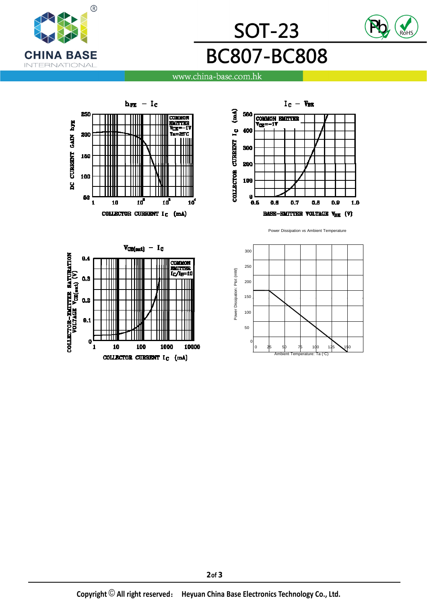





#### www.china-base.com.hk